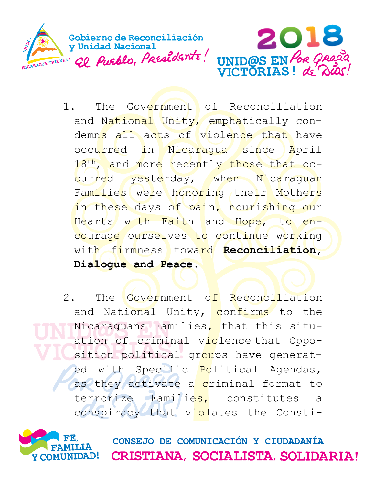

- 1. The Government of Reconciliation and National Unity, emphatically condemns all acts of violence that have occurred in Nicaragua since April 18<sup>th</sup>, and more recently those that occurred yesterday, when Nicaraguan Families were honoring their Mothers in these days of pain, nourishing our Hearts with Faith and Hope, to encourage ourselves to continue working with firmness toward **Reconciliation, Dialogue and Peace.**
- 2. The Government of Reconciliation and National Unity, confirms to the Nicaraguans Families, that this situation of criminal violence that Opposition political groups have generated with Specific Political Agendas, as they activate a criminal format to terrorize Families, constitutes a conspiracy that violates the Consti-



CONSEJO DE COMUNICACIÓN Y CIUDADANÍA CRISTIANA, SOCIALISTA, SOLIDARIA!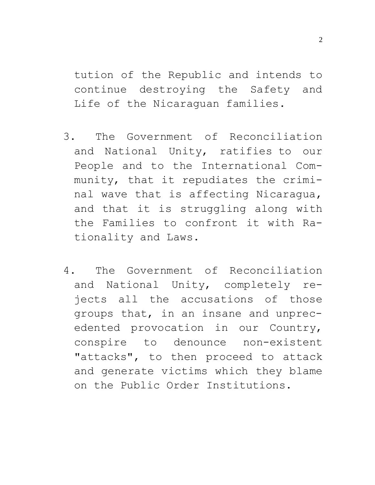tution of the Republic and intends to continue destroying the Safety and Life of the Nicaraguan families.

- 3. The Government of Reconciliation and National Unity, ratifies to our People and to the International Community, that it repudiates the criminal wave that is affecting Nicaragua, and that it is struggling along with the Families to confront it with Rationality and Laws.
- 4. The Government of Reconciliation and National Unity, completely rejects all the accusations of those groups that, in an insane and unprecedented provocation in our Country, conspire to denounce non-existent "attacks", to then proceed to attack and generate victims which they blame on the Public Order Institutions.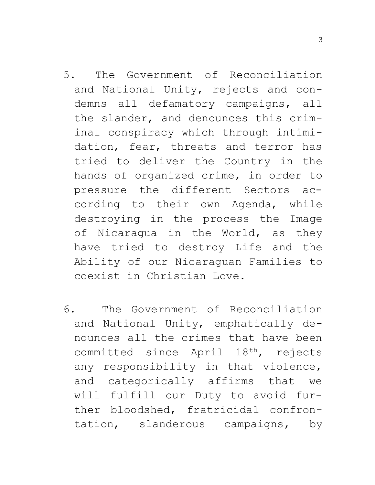- 5. The Government of Reconciliation and National Unity, rejects and condemns all defamatory campaigns, all the slander, and denounces this criminal conspiracy which through intimidation, fear, threats and terror has tried to deliver the Country in the hands of organized crime, in order to pressure the different Sectors according to their own Agenda, while destroying in the process the Image of Nicaragua in the World, as they have tried to destroy Life and the Ability of our Nicaraguan Families to coexist in Christian Love.
- 6. The Government of Reconciliation and National Unity, emphatically denounces all the crimes that have been committed since April 18th, rejects any responsibility in that violence, and categorically affirms that we will fulfill our Duty to avoid further bloodshed, fratricidal confrontation, slanderous campaigns, by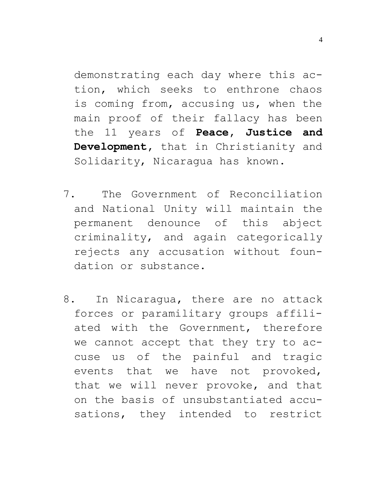demonstrating each day where this action, which seeks to enthrone chaos is coming from, accusing us, when the main proof of their fallacy has been the 11 years of **Peace, Justice and Development,** that in Christianity and Solidarity, Nicaragua has known.

- 7. The Government of Reconciliation and National Unity will maintain the permanent denounce of this abject criminality, and again categorically rejects any accusation without foundation or substance.
- 8. In Nicaragua, there are no attack forces or paramilitary groups affiliated with the Government, therefore we cannot accept that they try to accuse us of the painful and tragic events that we have not provoked, that we will never provoke, and that on the basis of unsubstantiated accusations, they intended to restrict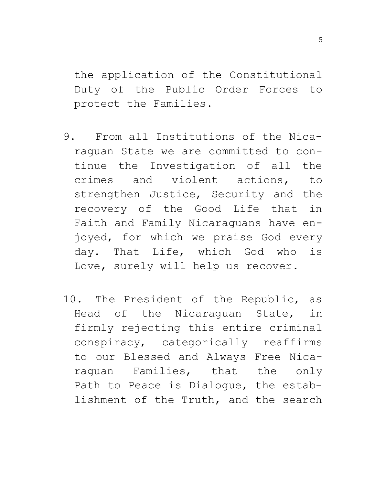the application of the Constitutional Duty of the Public Order Forces to protect the Families.

- 9. From all Institutions of the Nicaraguan State we are committed to continue the Investigation of all the crimes and violent actions, to strengthen Justice, Security and the recovery of the Good Life that in Faith and Family Nicaraguans have enjoyed, for which we praise God every day. That Life, which God who is Love, surely will help us recover.
- 10. The President of the Republic, as Head of the Nicaraguan State, in firmly rejecting this entire criminal conspiracy, categorically reaffirms to our Blessed and Always Free Nicaraguan Families, that the only Path to Peace is Dialogue, the establishment of the Truth, and the search